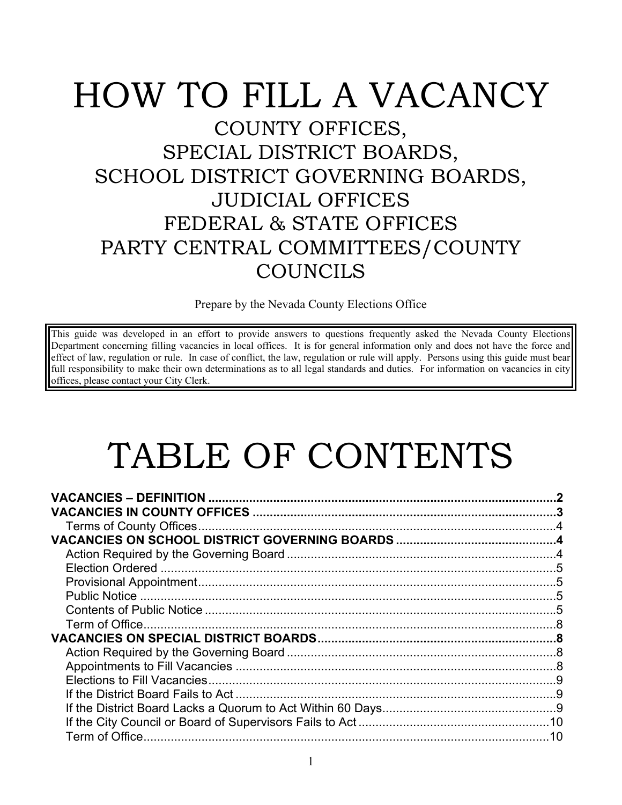# HOW TO FILL A VACANCY COUNTY OFFICES, SPECIAL DISTRICT BOARDS, SCHOOL DISTRICT GOVERNING BOARDS, JUDICIAL OFFICES FEDERAL & STATE OFFICES PARTY CENTRAL COMMITTEES/COUNTY COUNCILS

Prepare by the Nevada County Elections Office

This guide was developed in an effort to provide answers to questions frequently asked the Nevada County Elections Department concerning filling vacancies in local offices. It is for general information only and does not have the force and effect of law, regulation or rule. In case of conflict, the law, regulation or rule will apply. Persons using this guide must bear full responsibility to make their own determinations as to all legal standards and duties. For information on vacancies in city offices, please contact your City Clerk.

# TABLE OF CONTENTS

| <b>VACANCIES - DEFINITION </b> |    |
|--------------------------------|----|
|                                |    |
|                                |    |
|                                |    |
|                                |    |
|                                |    |
|                                |    |
|                                |    |
|                                | 5  |
|                                |    |
|                                |    |
|                                |    |
|                                |    |
|                                |    |
|                                |    |
|                                |    |
|                                |    |
| Term of Office.                | 10 |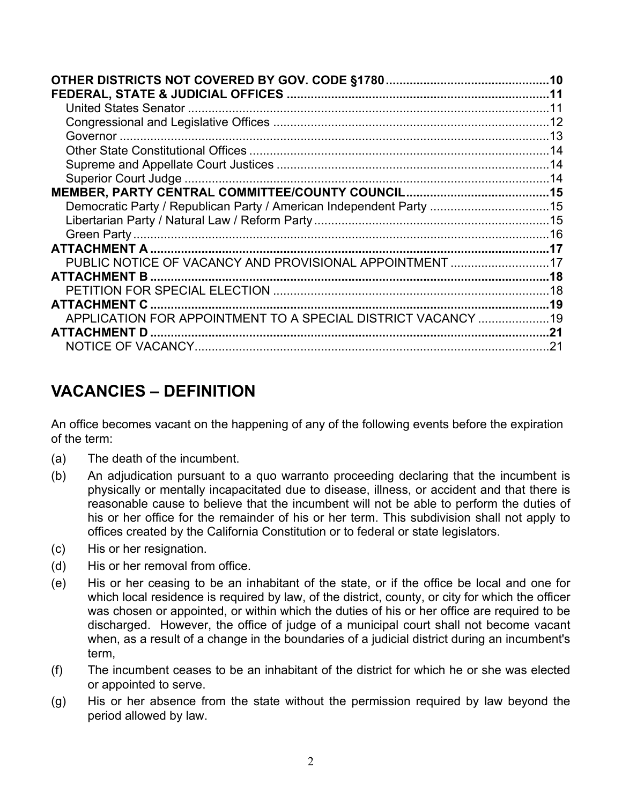<span id="page-1-0"></span>

|                                                                     | .14 |
|---------------------------------------------------------------------|-----|
|                                                                     |     |
| Democratic Party / Republican Party / American Independent Party 15 |     |
|                                                                     |     |
|                                                                     |     |
| ATTACHMENT A                                                        |     |
| PUBLIC NOTICE OF VACANCY AND PROVISIONAL APPOINTMENT                | .17 |
|                                                                     |     |
|                                                                     |     |
| <b>ATTACHMENT C</b>                                                 | .19 |
| APPLICATION FOR APPOINTMENT TO A SPECIAL DISTRICT VACANCY 19        |     |
| <b>ATTACHMENT D</b>                                                 | .21 |
|                                                                     | 21  |
|                                                                     |     |

### **VACANCIES – DEFINITION**

An office becomes vacant on the happening of any of the following events before the expiration of the term:

- (a) The death of the incumbent.
- (b) An adjudication pursuant to a quo warranto proceeding declaring that the incumbent is physically or mentally incapacitated due to disease, illness, or accident and that there is reasonable cause to believe that the incumbent will not be able to perform the duties of his or her office for the remainder of his or her term. This subdivision shall not apply to offices created by the California Constitution or to federal or state legislators.
- (c) His or her resignation.
- (d) His or her removal from office.
- (e) His or her ceasing to be an inhabitant of the state, or if the office be local and one for which local residence is required by law, of the district, county, or city for which the officer was chosen or appointed, or within which the duties of his or her office are required to be discharged. However, the office of judge of a municipal court shall not become vacant when, as a result of a change in the boundaries of a judicial district during an incumbent's term,
- (f) The incumbent ceases to be an inhabitant of the district for which he or she was elected or appointed to serve.
- (g) His or her absence from the state without the permission required by law beyond the period allowed by law.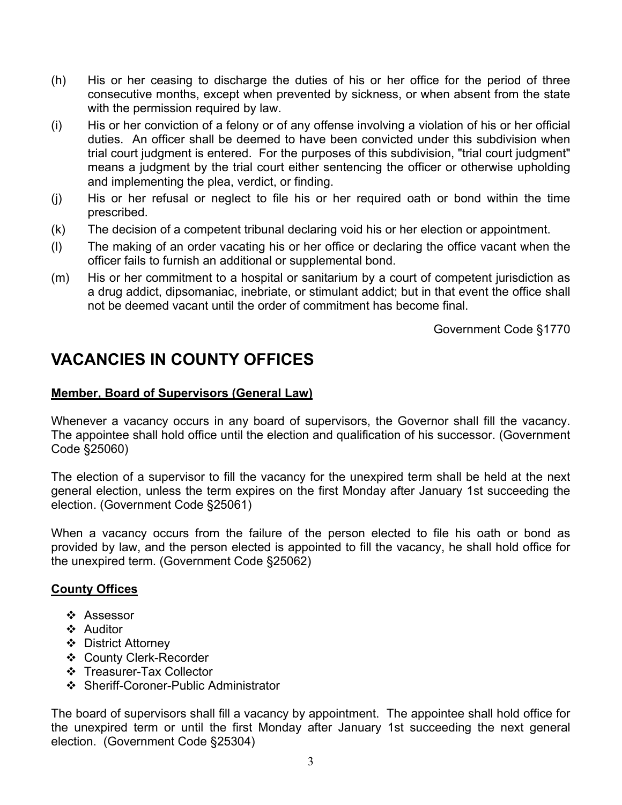- <span id="page-2-0"></span>(h) His or her ceasing to discharge the duties of his or her office for the period of three consecutive months, except when prevented by sickness, or when absent from the state with the permission required by law.
- (i) His or her conviction of a felony or of any offense involving a violation of his or her official duties. An officer shall be deemed to have been convicted under this subdivision when trial court judgment is entered. For the purposes of this subdivision, "trial court judgment" means a judgment by the trial court either sentencing the officer or otherwise upholding and implementing the plea, verdict, or finding.
- (j) His or her refusal or neglect to file his or her required oath or bond within the time prescribed.
- (k) The decision of a competent tribunal declaring void his or her election or appointment.
- (l) The making of an order vacating his or her office or declaring the office vacant when the officer fails to furnish an additional or supplemental bond.
- (m) His or her commitment to a hospital or sanitarium by a court of competent jurisdiction as a drug addict, dipsomaniac, inebriate, or stimulant addict; but in that event the office shall not be deemed vacant until the order of commitment has become final.

Government Code §1770

### **VACANCIES IN COUNTY OFFICES**

#### **Member, Board of Supervisors (General Law)**

Whenever a vacancy occurs in any board of supervisors, the Governor shall fill the vacancy. The appointee shall hold office until the election and qualification of his successor. (Government Code §25060)

The election of a supervisor to fill the vacancy for the unexpired term shall be held at the next general election, unless the term expires on the first Monday after January 1st succeeding the election. (Government Code §25061)

When a vacancy occurs from the failure of the person elected to file his oath or bond as provided by law, and the person elected is appointed to fill the vacancy, he shall hold office for the unexpired term. (Government Code §25062)

#### **County Offices**

- ❖ Assessor
- ❖ Auditor
- District Attorney
- County Clerk-Recorder
- Treasurer-Tax Collector
- ❖ Sheriff-Coroner-Public Administrator

The board of supervisors shall fill a vacancy by appointment. The appointee shall hold office for the unexpired term or until the first Monday after January 1st succeeding the next general election. (Government Code §25304)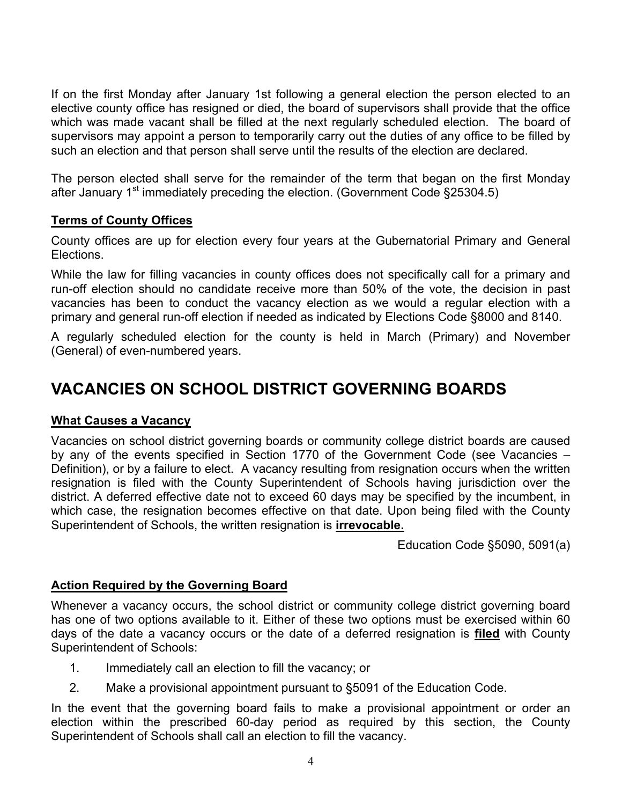<span id="page-3-0"></span>If on the first Monday after January 1st following a general election the person elected to an elective county office has resigned or died, the board of supervisors shall provide that the office which was made vacant shall be filled at the next regularly scheduled election. The board of supervisors may appoint a person to temporarily carry out the duties of any office to be filled by such an election and that person shall serve until the results of the election are declared.

The person elected shall serve for the remainder of the term that began on the first Monday after January  $1<sup>st</sup>$  immediately preceding the election. (Government Code §25304.5)

#### **Terms of County Offices**

County offices are up for election every four years at the Gubernatorial Primary and General Elections.

While the law for filling vacancies in county offices does not specifically call for a primary and run-off election should no candidate receive more than 50% of the vote, the decision in past vacancies has been to conduct the vacancy election as we would a regular election with a primary and general run-off election if needed as indicated by Elections Code §8000 and 8140.

A regularly scheduled election for the county is held in March (Primary) and November (General) of even-numbered years.

### **VACANCIES ON SCHOOL DISTRICT GOVERNING BOARDS**

#### **What Causes a Vacancy**

Vacancies on school district governing boards or community college district boards are caused by any of the events specified in Section 1770 of the Government Code (see Vacancies – Definition), or by a failure to elect. A vacancy resulting from resignation occurs when the written resignation is filed with the County Superintendent of Schools having jurisdiction over the district. A deferred effective date not to exceed 60 days may be specified by the incumbent, in which case, the resignation becomes effective on that date. Upon being filed with the County Superintendent of Schools, the written resignation is **irrevocable.**

Education Code §5090, 5091(a)

#### **Action Required by the Governing Board**

Whenever a vacancy occurs, the school district or community college district governing board has one of two options available to it. Either of these two options must be exercised within 60 days of the date a vacancy occurs or the date of a deferred resignation is **filed** with County Superintendent of Schools:

- 1. Immediately call an election to fill the vacancy; or
- 2. Make a provisional appointment pursuant to §5091 of the Education Code.

In the event that the governing board fails to make a provisional appointment or order an election within the prescribed 60-day period as required by this section, the County Superintendent of Schools shall call an election to fill the vacancy.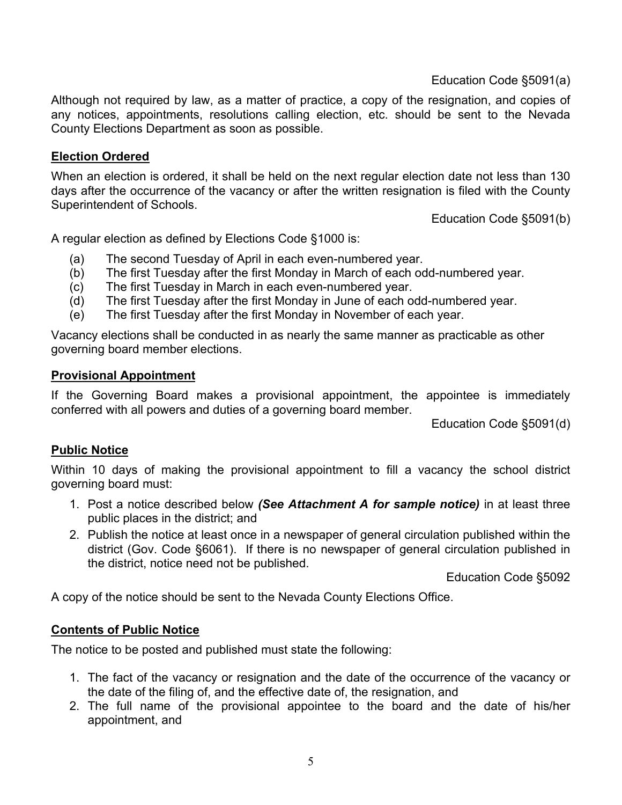Education Code §5091(a)

<span id="page-4-0"></span>Although not required by law, as a matter of practice, a copy of the resignation, and copies of any notices, appointments, resolutions calling election, etc. should be sent to the Nevada County Elections Department as soon as possible.

#### **Election Ordered**

When an election is ordered, it shall be held on the next regular election date not less than 130 days after the occurrence of the vacancy or after the written resignation is filed with the County Superintendent of Schools.

Education Code §5091(b)

A regular election as defined by Elections Code §1000 is:

- (a) The second Tuesday of April in each even-numbered year.
- (b) The first Tuesday after the first Monday in March of each odd-numbered year.
- (c) The first Tuesday in March in each even-numbered year.
- (d) The first Tuesday after the first Monday in June of each odd-numbered year.
- (e) The first Tuesday after the first Monday in November of each year.

Vacancy elections shall be conducted in as nearly the same manner as practicable as other governing board member elections.

#### **Provisional Appointment**

If the Governing Board makes a provisional appointment, the appointee is immediately conferred with all powers and duties of a governing board member.

Education Code §5091(d)

#### **Public Notice**

Within 10 days of making the provisional appointment to fill a vacancy the school district governing board must:

- 1. Post a notice described below *(See Attachment A for sample notice)* in at least three public places in the district; and
- 2. Publish the notice at least once in a newspaper of general circulation published within the district (Gov. Code §6061). If there is no newspaper of general circulation published in the district, notice need not be published.

Education Code §5092

A copy of the notice should be sent to the Nevada County Elections Office.

#### **Contents of Public Notice**

The notice to be posted and published must state the following:

- 1. The fact of the vacancy or resignation and the date of the occurrence of the vacancy or the date of the filing of, and the effective date of, the resignation, and
- 2. The full name of the provisional appointee to the board and the date of his/her appointment, and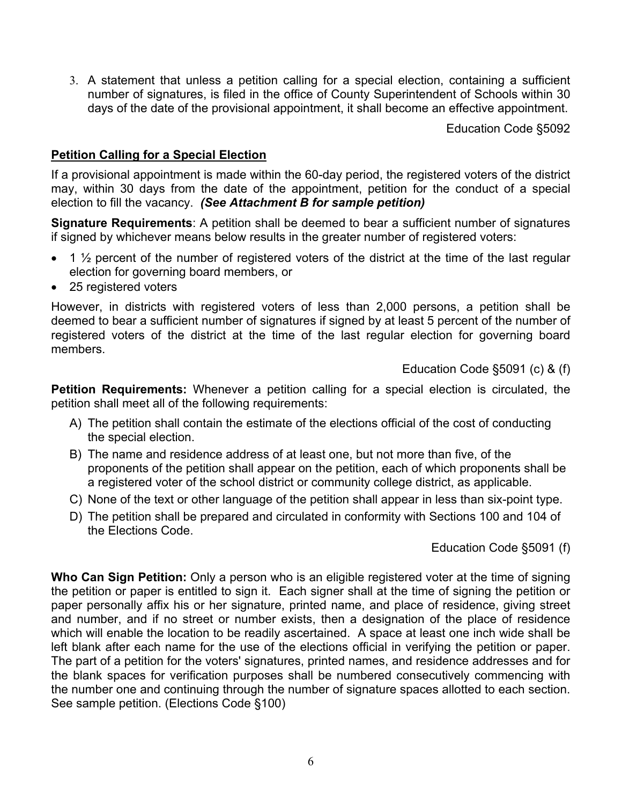3. A statement that unless a petition calling for a special election, containing a sufficient number of signatures, is filed in the office of County Superintendent of Schools within 30 days of the date of the provisional appointment, it shall become an effective appointment.

Education Code §5092

#### **Petition Calling for a Special Election**

If a provisional appointment is made within the 60-day period, the registered voters of the district may, within 30 days from the date of the appointment, petition for the conduct of a special election to fill the vacancy. *(See Attachment B for sample petition)*

**Signature Requirements**: A petition shall be deemed to bear a sufficient number of signatures if signed by whichever means below results in the greater number of registered voters:

- 1  $\frac{1}{2}$  percent of the number of registered voters of the district at the time of the last regular election for governing board members, or
- 25 registered voters

However, in districts with registered voters of less than 2,000 persons, a petition shall be deemed to bear a sufficient number of signatures if signed by at least 5 percent of the number of registered voters of the district at the time of the last regular election for governing board members.

Education Code §5091 (c) & (f)

**Petition Requirements:** Whenever a petition calling for a special election is circulated, the petition shall meet all of the following requirements:

- A) The petition shall contain the estimate of the elections official of the cost of conducting the special election.
- B) The name and residence address of at least one, but not more than five, of the proponents of the petition shall appear on the petition, each of which proponents shall be a registered voter of the school district or community college district, as applicable.
- C) None of the text or other language of the petition shall appear in less than six-point type.
- D) The petition shall be prepared and circulated in conformity with Sections 100 and 104 of the Elections Code.

Education Code §5091 (f)

**Who Can Sign Petition:** Only a person who is an eligible registered voter at the time of signing the petition or paper is entitled to sign it. Each signer shall at the time of signing the petition or paper personally affix his or her signature, printed name, and place of residence, giving street and number, and if no street or number exists, then a designation of the place of residence which will enable the location to be readily ascertained. A space at least one inch wide shall be left blank after each name for the use of the elections official in verifying the petition or paper. The part of a petition for the voters' signatures, printed names, and residence addresses and for the blank spaces for verification purposes shall be numbered consecutively commencing with the number one and continuing through the number of signature spaces allotted to each section. See sample petition. (Elections Code §100)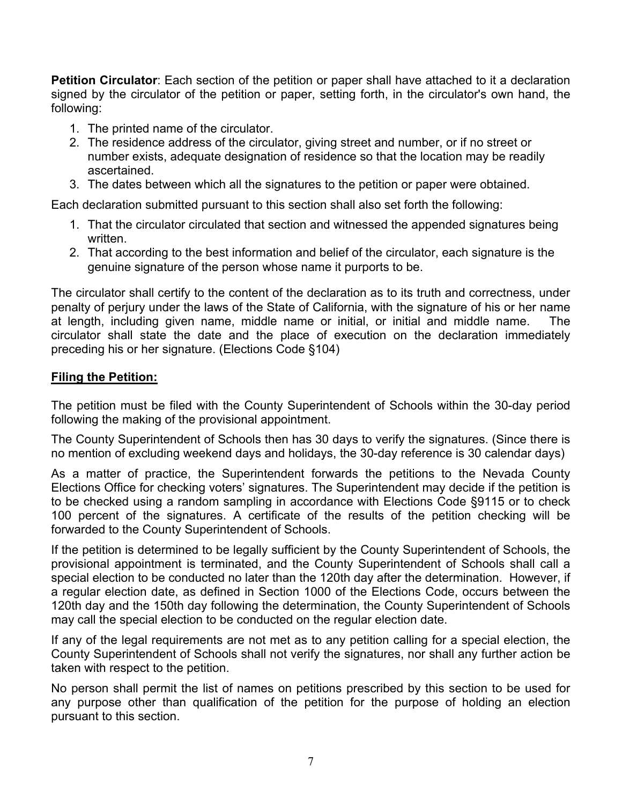**Petition Circulator**: Each section of the petition or paper shall have attached to it a declaration signed by the circulator of the petition or paper, setting forth, in the circulator's own hand, the following:

- 1. The printed name of the circulator.
- 2. The residence address of the circulator, giving street and number, or if no street or number exists, adequate designation of residence so that the location may be readily ascertained.
- 3. The dates between which all the signatures to the petition or paper were obtained.

Each declaration submitted pursuant to this section shall also set forth the following:

- 1. That the circulator circulated that section and witnessed the appended signatures being written.
- 2. That according to the best information and belief of the circulator, each signature is the genuine signature of the person whose name it purports to be.

The circulator shall certify to the content of the declaration as to its truth and correctness, under penalty of perjury under the laws of the State of California, with the signature of his or her name at length, including given name, middle name or initial, or initial and middle name. The circulator shall state the date and the place of execution on the declaration immediately preceding his or her signature. (Elections Code §104)

#### **Filing the Petition:**

The petition must be filed with the County Superintendent of Schools within the 30-day period following the making of the provisional appointment.

The County Superintendent of Schools then has 30 days to verify the signatures. (Since there is no mention of excluding weekend days and holidays, the 30-day reference is 30 calendar days)

As a matter of practice, the Superintendent forwards the petitions to the Nevada County Elections Office for checking voters' signatures. The Superintendent may decide if the petition is to be checked using a random sampling in accordance with Elections Code §9115 or to check 100 percent of the signatures. A certificate of the results of the petition checking will be forwarded to the County Superintendent of Schools.

If the petition is determined to be legally sufficient by the County Superintendent of Schools, the provisional appointment is terminated, and the County Superintendent of Schools shall call a special election to be conducted no later than the 120th day after the determination. However, if a regular election date, as defined in Section 1000 of the Elections Code, occurs between the 120th day and the 150th day following the determination, the County Superintendent of Schools may call the special election to be conducted on the regular election date.

If any of the legal requirements are not met as to any petition calling for a special election, the County Superintendent of Schools shall not verify the signatures, nor shall any further action be taken with respect to the petition.

No person shall permit the list of names on petitions prescribed by this section to be used for any purpose other than qualification of the petition for the purpose of holding an election pursuant to this section.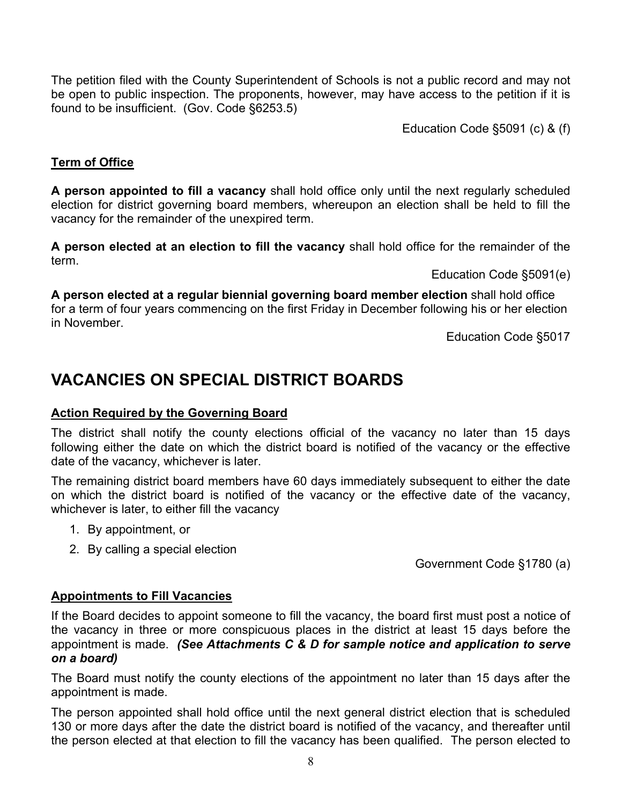<span id="page-7-0"></span>The petition filed with the County Superintendent of Schools is not a public record and may not be open to public inspection. The proponents, however, may have access to the petition if it is found to be insufficient. (Gov. Code §6253.5)

Education Code §5091 (c) & (f)

#### **Term of Office**

**A person appointed to fill a vacancy** shall hold office only until the next regularly scheduled election for district governing board members, whereupon an election shall be held to fill the vacancy for the remainder of the unexpired term.

**A person elected at an election to fill the vacancy** shall hold office for the remainder of the term.

Education Code §5091(e)

**A person elected at a regular biennial governing board member election** shall hold office for a term of four years commencing on the first Friday in December following his or her election in November.

Education Code §5017

### **VACANCIES ON SPECIAL DISTRICT BOARDS**

#### **Action Required by the Governing Board**

The district shall notify the county elections official of the vacancy no later than 15 days following either the date on which the district board is notified of the vacancy or the effective date of the vacancy, whichever is later.

The remaining district board members have 60 days immediately subsequent to either the date on which the district board is notified of the vacancy or the effective date of the vacancy, whichever is later, to either fill the vacancy

- 1. By appointment, or
- 2. By calling a special election

Government Code §1780 (a)

#### **Appointments to Fill Vacancies**

If the Board decides to appoint someone to fill the vacancy, the board first must post a notice of the vacancy in three or more conspicuous places in the district at least 15 days before the appointment is made. *(See Attachments C & D for sample notice and application to serve on a board)* 

The Board must notify the county elections of the appointment no later than 15 days after the appointment is made.

The person appointed shall hold office until the next general district election that is scheduled 130 or more days after the date the district board is notified of the vacancy, and thereafter until the person elected at that election to fill the vacancy has been qualified. The person elected to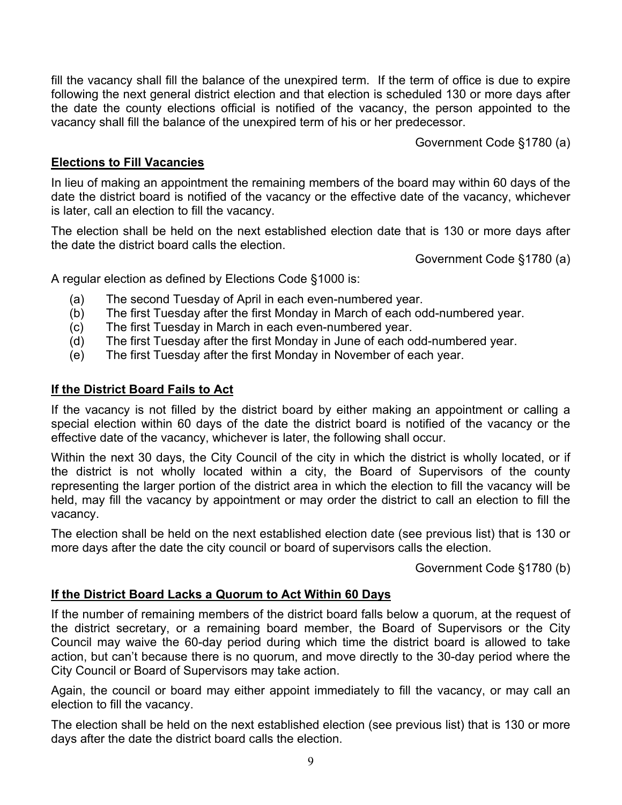<span id="page-8-0"></span>fill the vacancy shall fill the balance of the unexpired term. If the term of office is due to expire following the next general district election and that election is scheduled 130 or more days after the date the county elections official is notified of the vacancy, the person appointed to the vacancy shall fill the balance of the unexpired term of his or her predecessor.

Government Code §1780 (a)

#### **Elections to Fill Vacancies**

In lieu of making an appointment the remaining members of the board may within 60 days of the date the district board is notified of the vacancy or the effective date of the vacancy, whichever is later, call an election to fill the vacancy.

The election shall be held on the next established election date that is 130 or more days after the date the district board calls the election.

Government Code §1780 (a)

A regular election as defined by Elections Code §1000 is:

- (a) The second Tuesday of April in each even-numbered year.
- (b) The first Tuesday after the first Monday in March of each odd-numbered year.
- (c) The first Tuesday in March in each even-numbered year.
- (d) The first Tuesday after the first Monday in June of each odd-numbered year.
- (e) The first Tuesday after the first Monday in November of each year.

#### **If the District Board Fails to Act**

If the vacancy is not filled by the district board by either making an appointment or calling a special election within 60 days of the date the district board is notified of the vacancy or the effective date of the vacancy, whichever is later, the following shall occur.

Within the next 30 days, the City Council of the city in which the district is wholly located, or if the district is not wholly located within a city, the Board of Supervisors of the county representing the larger portion of the district area in which the election to fill the vacancy will be held, may fill the vacancy by appointment or may order the district to call an election to fill the vacancy.

The election shall be held on the next established election date (see previous list) that is 130 or more days after the date the city council or board of supervisors calls the election.

Government Code §1780 (b)

#### **If the District Board Lacks a Quorum to Act Within 60 Days**

If the number of remaining members of the district board falls below a quorum, at the request of the district secretary, or a remaining board member, the Board of Supervisors or the City Council may waive the 60-day period during which time the district board is allowed to take action, but can't because there is no quorum, and move directly to the 30-day period where the City Council or Board of Supervisors may take action.

Again, the council or board may either appoint immediately to fill the vacancy, or may call an election to fill the vacancy.

The election shall be held on the next established election (see previous list) that is 130 or more days after the date the district board calls the election.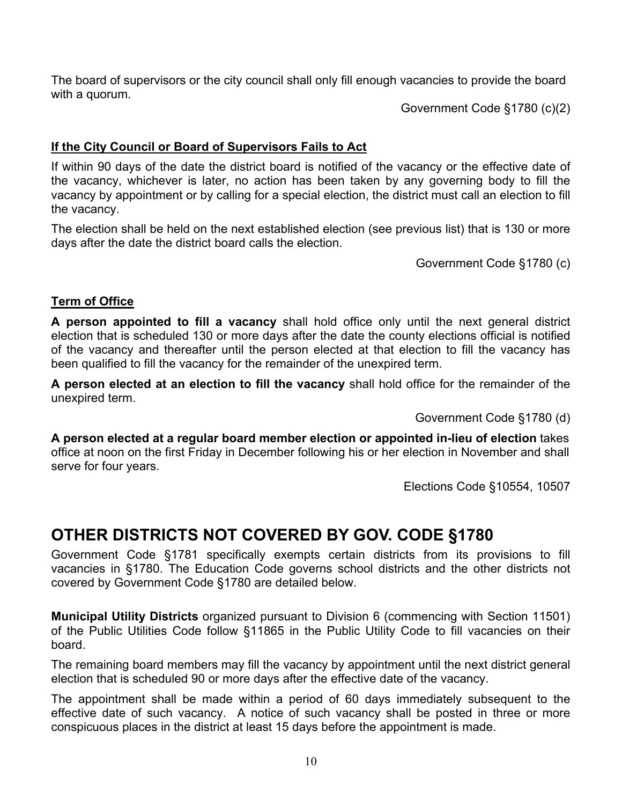<span id="page-9-0"></span>The board of supervisors or the city council shall only fill enough vacancies to provide the board with a quorum.

Government Code §1780 (c)(2)

#### **If the City Council or Board of Supervisors Fails to Act**

If within 90 days of the date the district board is notified of the vacancy or the effective date of the vacancy, whichever is later, no action has been taken by any governing body to fill the vacancy by appointment or by calling for a special election, the district must call an election to fill the vacancy.

The election shall be held on the next established election (see previous list) that is 130 or more days after the date the district board calls the election.

Government Code §1780 (c)

#### **Term of Office**

**A person appointed to fill a vacancy** shall hold office only until the next general district election that is scheduled 130 or more days after the date the county elections official is notified of the vacancy and thereafter until the person elected at that election to fill the vacancy has been qualified to fill the vacancy for the remainder of the unexpired term.

**A person elected at an election to fill the vacancy** shall hold office for the remainder of the unexpired term.

Government Code §1780 (d)

**A person elected at a regular board member election or appointed in-lieu of election** takes office at noon on the first Friday in December following his or her election in November and shall serve for four years.

Elections Code §10554, 10507

### **OTHER DISTRICTS NOT COVERED BY GOV. CODE §1780**

Government Code §1781 specifically exempts certain districts from its provisions to fill vacancies in §1780. The Education Code governs school districts and the other districts not covered by Government Code §1780 are detailed below.

**Municipal Utility Districts** organized pursuant to Division 6 (commencing with Section 11501) of the Public Utilities Code follow §11865 in the Public Utility Code to fill vacancies on their board.

The remaining board members may fill the vacancy by appointment until the next district general election that is scheduled 90 or more days after the effective date of the vacancy.

The appointment shall be made within a period of 60 days immediately subsequent to the effective date of such vacancy. A notice of such vacancy shall be posted in three or more conspicuous places in the district at least 15 days before the appointment is made.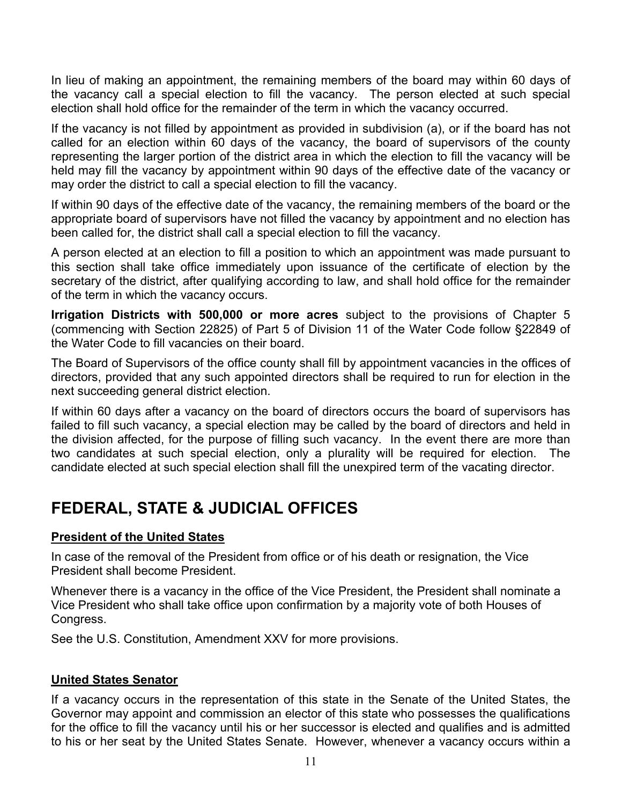<span id="page-10-0"></span>In lieu of making an appointment, the remaining members of the board may within 60 days of the vacancy call a special election to fill the vacancy. The person elected at such special election shall hold office for the remainder of the term in which the vacancy occurred.

If the vacancy is not filled by appointment as provided in subdivision (a), or if the board has not called for an election within 60 days of the vacancy, the board of supervisors of the county representing the larger portion of the district area in which the election to fill the vacancy will be held may fill the vacancy by appointment within 90 days of the effective date of the vacancy or may order the district to call a special election to fill the vacancy.

If within 90 days of the effective date of the vacancy, the remaining members of the board or the appropriate board of supervisors have not filled the vacancy by appointment and no election has been called for, the district shall call a special election to fill the vacancy.

A person elected at an election to fill a position to which an appointment was made pursuant to this section shall take office immediately upon issuance of the certificate of election by the secretary of the district, after qualifying according to law, and shall hold office for the remainder of the term in which the vacancy occurs.

**Irrigation Districts with 500,000 or more acres** subject to the provisions of Chapter 5 (commencing with Section 22825) of Part 5 of Division 11 of the Water Code follow §22849 of the Water Code to fill vacancies on their board.

The Board of Supervisors of the office county shall fill by appointment vacancies in the offices of directors, provided that any such appointed directors shall be required to run for election in the next succeeding general district election.

If within 60 days after a vacancy on the board of directors occurs the board of supervisors has failed to fill such vacancy, a special election may be called by the board of directors and held in the division affected, for the purpose of filling such vacancy. In the event there are more than two candidates at such special election, only a plurality will be required for election. The candidate elected at such special election shall fill the unexpired term of the vacating director.

### **FEDERAL, STATE & JUDICIAL OFFICES**

#### **President of the United States**

In case of the removal of the President from office or of his death or resignation, the Vice President shall become President.

Whenever there is a vacancy in the office of the Vice President, the President shall nominate a Vice President who shall take office upon confirmation by a majority vote of both Houses of Congress.

See the U.S. Constitution, Amendment XXV for more provisions.

#### **United States Senator**

If a vacancy occurs in the representation of this state in the Senate of the United States, the Governor may appoint and commission an elector of this state who possesses the qualifications for the office to fill the vacancy until his or her successor is elected and qualifies and is admitted to his or her seat by the United States Senate. However, whenever a vacancy occurs within a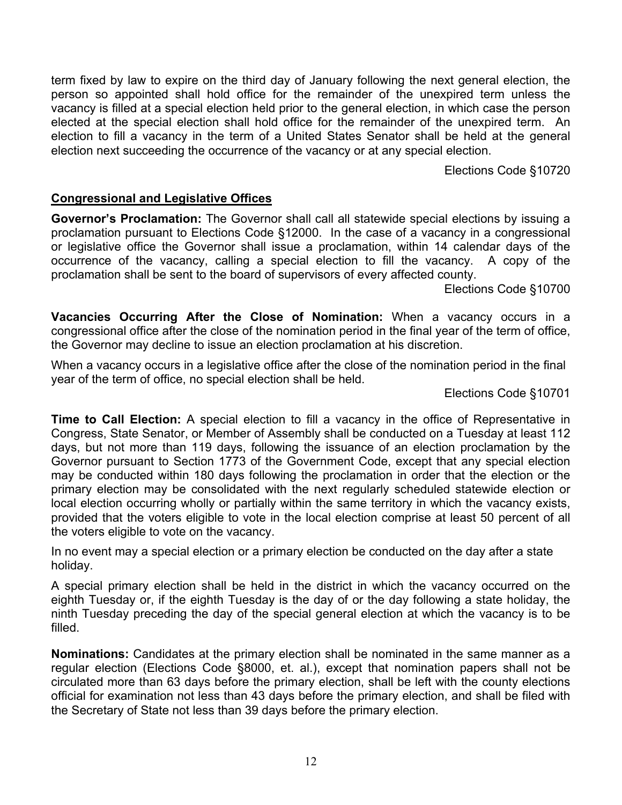<span id="page-11-0"></span>term fixed by law to expire on the third day of January following the next general election, the person so appointed shall hold office for the remainder of the unexpired term unless the vacancy is filled at a special election held prior to the general election, in which case the person elected at the special election shall hold office for the remainder of the unexpired term. An election to fill a vacancy in the term of a United States Senator shall be held at the general election next succeeding the occurrence of the vacancy or at any special election.

Elections Code §10720

#### **Congressional and Legislative Offices**

**Governor's Proclamation:** The Governor shall call all statewide special elections by issuing a proclamation pursuant to Elections Code §12000. In the case of a vacancy in a congressional or legislative office the Governor shall issue a proclamation, within 14 calendar days of the occurrence of the vacancy, calling a special election to fill the vacancy. A copy of the proclamation shall be sent to the board of supervisors of every affected county.

Elections Code §10700

**Vacancies Occurring After the Close of Nomination:** When a vacancy occurs in a congressional office after the close of the nomination period in the final year of the term of office, the Governor may decline to issue an election proclamation at his discretion.

When a vacancy occurs in a legislative office after the close of the nomination period in the final year of the term of office, no special election shall be held.

Elections Code §10701

**Time to Call Election:** A special election to fill a vacancy in the office of Representative in Congress, State Senator, or Member of Assembly shall be conducted on a Tuesday at least 112 days, but not more than 119 days, following the issuance of an election proclamation by the Governor pursuant to Section 1773 of the Government Code, except that any special election may be conducted within 180 days following the proclamation in order that the election or the primary election may be consolidated with the next regularly scheduled statewide election or local election occurring wholly or partially within the same territory in which the vacancy exists, provided that the voters eligible to vote in the local election comprise at least 50 percent of all the voters eligible to vote on the vacancy.

In no event may a special election or a primary election be conducted on the day after a state holiday.

A special primary election shall be held in the district in which the vacancy occurred on the eighth Tuesday or, if the eighth Tuesday is the day of or the day following a state holiday, the ninth Tuesday preceding the day of the special general election at which the vacancy is to be filled.

**Nominations:** Candidates at the primary election shall be nominated in the same manner as a regular election (Elections Code §8000, et. al.), except that nomination papers shall not be circulated more than 63 days before the primary election, shall be left with the county elections official for examination not less than 43 days before the primary election, and shall be filed with the Secretary of State not less than 39 days before the primary election.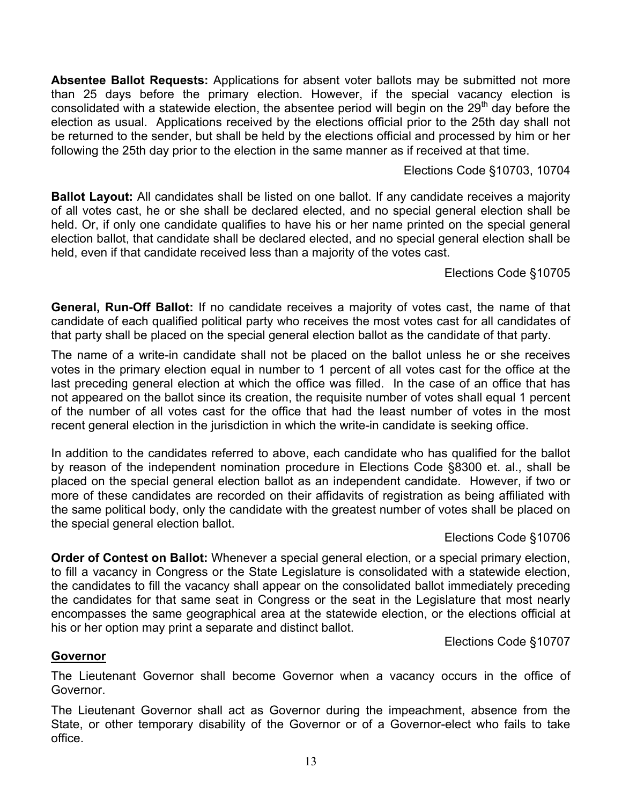<span id="page-12-0"></span>**Absentee Ballot Requests:** Applications for absent voter ballots may be submitted not more than 25 days before the primary election. However, if the special vacancy election is consolidated with a statewide election, the absentee period will begin on the  $29<sup>th</sup>$  day before the election as usual. Applications received by the elections official prior to the 25th day shall not be returned to the sender, but shall be held by the elections official and processed by him or her following the 25th day prior to the election in the same manner as if received at that time.

#### Elections Code §10703, 10704

**Ballot Layout:** All candidates shall be listed on one ballot. If any candidate receives a majority of all votes cast, he or she shall be declared elected, and no special general election shall be held. Or, if only one candidate qualifies to have his or her name printed on the special general election ballot, that candidate shall be declared elected, and no special general election shall be held, even if that candidate received less than a majority of the votes cast.

#### Elections Code §10705

**General, Run-Off Ballot:** If no candidate receives a majority of votes cast, the name of that candidate of each qualified political party who receives the most votes cast for all candidates of that party shall be placed on the special general election ballot as the candidate of that party.

The name of a write-in candidate shall not be placed on the ballot unless he or she receives votes in the primary election equal in number to 1 percent of all votes cast for the office at the last preceding general election at which the office was filled. In the case of an office that has not appeared on the ballot since its creation, the requisite number of votes shall equal 1 percent of the number of all votes cast for the office that had the least number of votes in the most recent general election in the jurisdiction in which the write-in candidate is seeking office.

In addition to the candidates referred to above, each candidate who has qualified for the ballot by reason of the independent nomination procedure in Elections Code §8300 et. al., shall be placed on the special general election ballot as an independent candidate. However, if two or more of these candidates are recorded on their affidavits of registration as being affiliated with the same political body, only the candidate with the greatest number of votes shall be placed on the special general election ballot.

#### Elections Code §10706

**Order of Contest on Ballot:** Whenever a special general election, or a special primary election, to fill a vacancy in Congress or the State Legislature is consolidated with a statewide election, the candidates to fill the vacancy shall appear on the consolidated ballot immediately preceding the candidates for that same seat in Congress or the seat in the Legislature that most nearly encompasses the same geographical area at the statewide election, or the elections official at his or her option may print a separate and distinct ballot.

#### Elections Code §10707

#### **Governor**

The Lieutenant Governor shall become Governor when a vacancy occurs in the office of Governor.

The Lieutenant Governor shall act as Governor during the impeachment, absence from the State, or other temporary disability of the Governor or of a Governor-elect who fails to take office.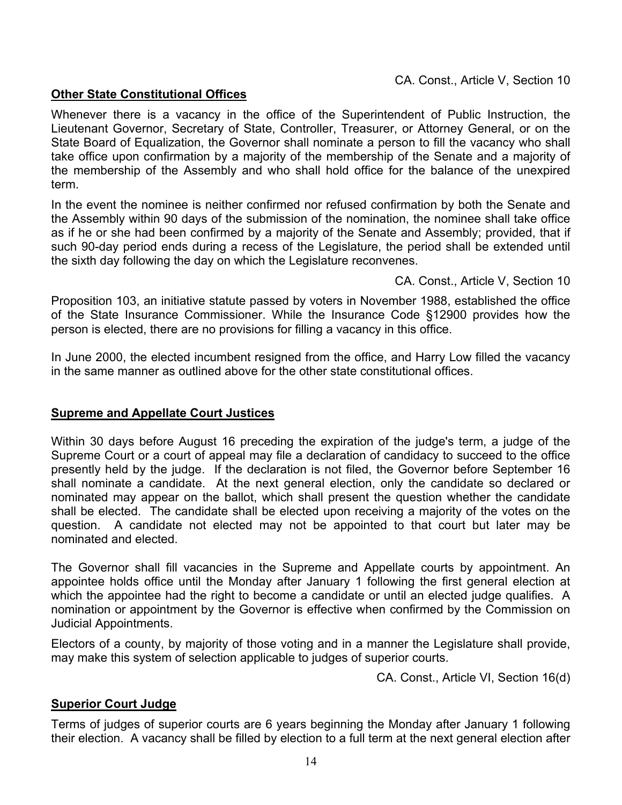#### <span id="page-13-0"></span>**Other State Constitutional Offices**

Whenever there is a vacancy in the office of the Superintendent of Public Instruction, the Lieutenant Governor, Secretary of State, Controller, Treasurer, or Attorney General, or on the State Board of Equalization, the Governor shall nominate a person to fill the vacancy who shall take office upon confirmation by a majority of the membership of the Senate and a majority of the membership of the Assembly and who shall hold office for the balance of the unexpired term.

In the event the nominee is neither confirmed nor refused confirmation by both the Senate and the Assembly within 90 days of the submission of the nomination, the nominee shall take office as if he or she had been confirmed by a majority of the Senate and Assembly; provided, that if such 90-day period ends during a recess of the Legislature, the period shall be extended until the sixth day following the day on which the Legislature reconvenes.

CA. Const., Article V, Section 10

Proposition 103, an initiative statute passed by voters in November 1988, established the office of the State Insurance Commissioner. While the Insurance Code §12900 provides how the person is elected, there are no provisions for filling a vacancy in this office.

In June 2000, the elected incumbent resigned from the office, and Harry Low filled the vacancy in the same manner as outlined above for the other state constitutional offices.

#### **Supreme and Appellate Court Justices**

Within 30 days before August 16 preceding the expiration of the judge's term, a judge of the Supreme Court or a court of appeal may file a declaration of candidacy to succeed to the office presently held by the judge. If the declaration is not filed, the Governor before September 16 shall nominate a candidate. At the next general election, only the candidate so declared or nominated may appear on the ballot, which shall present the question whether the candidate shall be elected. The candidate shall be elected upon receiving a majority of the votes on the question. A candidate not elected may not be appointed to that court but later may be nominated and elected.

The Governor shall fill vacancies in the Supreme and Appellate courts by appointment. An appointee holds office until the Monday after January 1 following the first general election at which the appointee had the right to become a candidate or until an elected judge qualifies. A nomination or appointment by the Governor is effective when confirmed by the Commission on Judicial Appointments.

Electors of a county, by majority of those voting and in a manner the Legislature shall provide, may make this system of selection applicable to judges of superior courts.

CA. Const., Article VI, Section 16(d)

#### **Superior Court Judge**

Terms of judges of superior courts are 6 years beginning the Monday after January 1 following their election. A vacancy shall be filled by election to a full term at the next general election after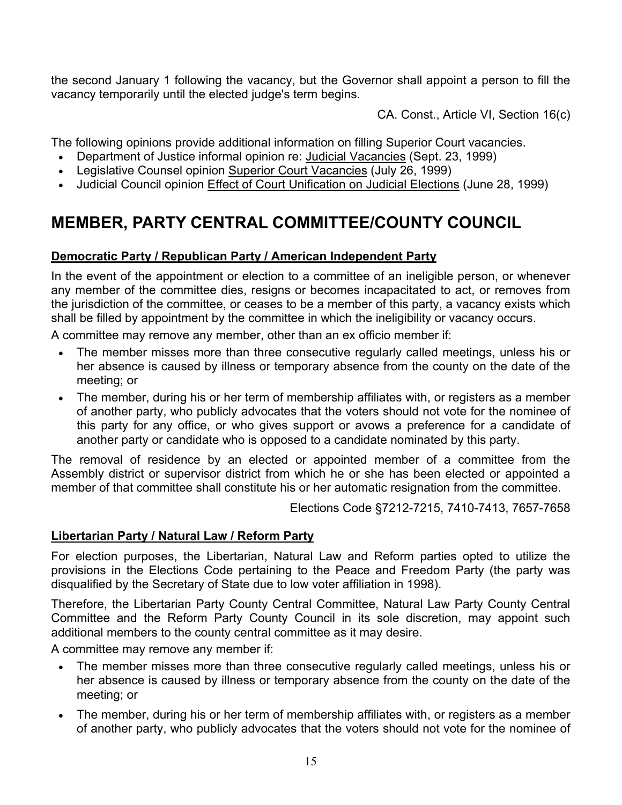<span id="page-14-0"></span>the second January 1 following the vacancy, but the Governor shall appoint a person to fill the vacancy temporarily until the elected judge's term begins.

CA. Const., Article VI, Section 16(c)

The following opinions provide additional information on filling Superior Court vacancies.

- Department of Justice informal opinion re: Judicial Vacancies (Sept. 23, 1999)
- Legislative Counsel opinion Superior Court Vacancies (July 26, 1999)
- Judicial Council opinion Effect of Court Unification on Judicial Elections (June 28, 1999)

### **MEMBER, PARTY CENTRAL COMMITTEE/COUNTY COUNCIL**

#### **Democratic Party / Republican Party / American Independent Party**

In the event of the appointment or election to a committee of an ineligible person, or whenever any member of the committee dies, resigns or becomes incapacitated to act, or removes from the jurisdiction of the committee, or ceases to be a member of this party, a vacancy exists which shall be filled by appointment by the committee in which the ineligibility or vacancy occurs.

A committee may remove any member, other than an ex officio member if:

- The member misses more than three consecutive regularly called meetings, unless his or her absence is caused by illness or temporary absence from the county on the date of the meeting; or
- The member, during his or her term of membership affiliates with, or registers as a member of another party, who publicly advocates that the voters should not vote for the nominee of this party for any office, or who gives support or avows a preference for a candidate of another party or candidate who is opposed to a candidate nominated by this party.

The removal of residence by an elected or appointed member of a committee from the Assembly district or supervisor district from which he or she has been elected or appointed a member of that committee shall constitute his or her automatic resignation from the committee.

Elections Code §7212-7215, 7410-7413, 7657-7658

#### **Libertarian Party / Natural Law / Reform Party**

For election purposes, the Libertarian, Natural Law and Reform parties opted to utilize the provisions in the Elections Code pertaining to the Peace and Freedom Party (the party was disqualified by the Secretary of State due to low voter affiliation in 1998).

Therefore, the Libertarian Party County Central Committee, Natural Law Party County Central Committee and the Reform Party County Council in its sole discretion, may appoint such additional members to the county central committee as it may desire.

A committee may remove any member if:

- The member misses more than three consecutive regularly called meetings, unless his or her absence is caused by illness or temporary absence from the county on the date of the meeting; or
- The member, during his or her term of membership affiliates with, or registers as a member of another party, who publicly advocates that the voters should not vote for the nominee of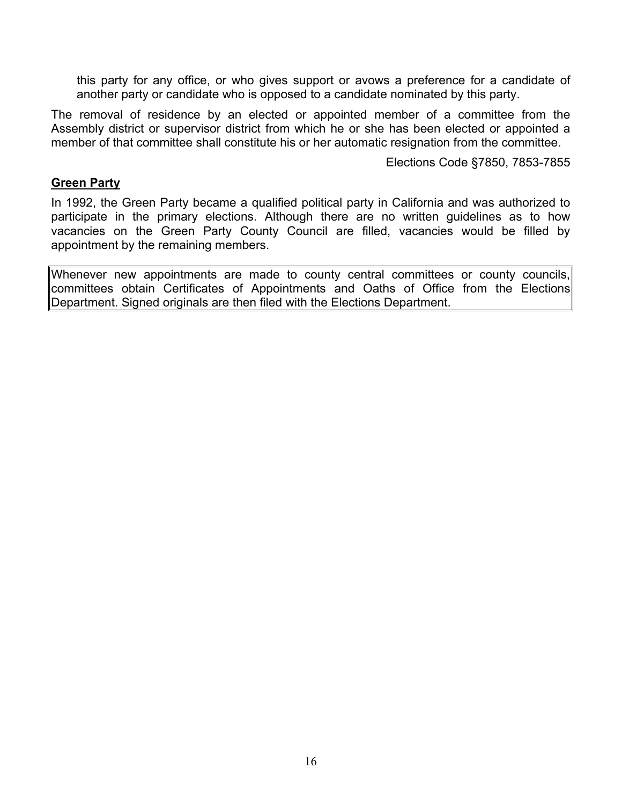<span id="page-15-0"></span>this party for any office, or who gives support or avows a preference for a candidate of another party or candidate who is opposed to a candidate nominated by this party.

The removal of residence by an elected or appointed member of a committee from the Assembly district or supervisor district from which he or she has been elected or appointed a member of that committee shall constitute his or her automatic resignation from the committee.

Elections Code §7850, 7853-7855

#### **Green Party**

In 1992, the Green Party became a qualified political party in California and was authorized to participate in the primary elections. Although there are no written guidelines as to how vacancies on the Green Party County Council are filled, vacancies would be filled by appointment by the remaining members.

Whenever new appointments are made to county central committees or county councils, committees obtain Certificates of Appointments and Oaths of Office from the Elections Department. Signed originals are then filed with the Elections Department.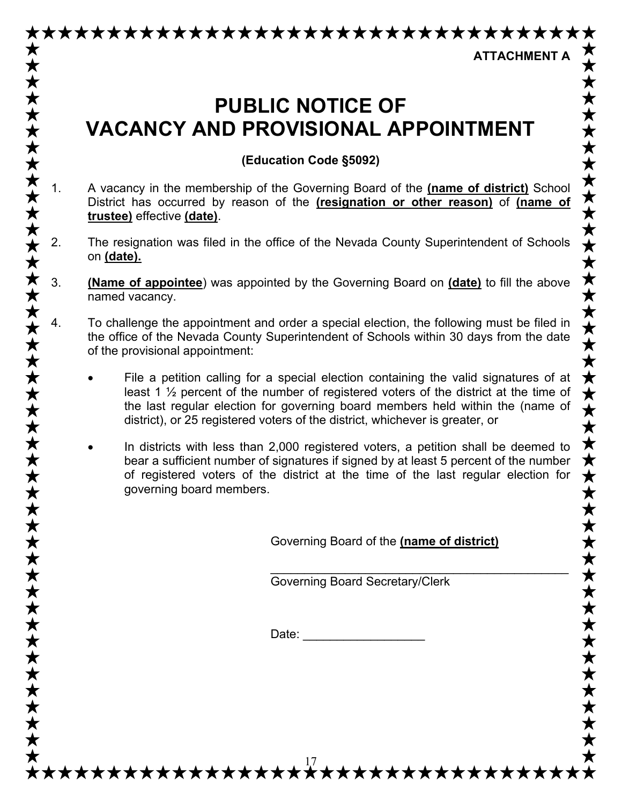# <span id="page-16-0"></span>\*\*\*\*\*\*\*\*\*\*\*\*\*\*\*\*\*\*\*\*\*\*\*\*\*\*\*\*\*\*\*\*\*

**ATTACHMENT A** 

## **PUBLIC NOTICE OF VACANCY AND PROVISIONAL APPOINTMENT**

**(Education Code §5092)**

- 1. A vacancy in the membership of the Governing Board of the **(name of district)** School District has occurred by reason of the **(resignation or other reason)** of **(name of trustee)** effective **(date)**.
- 2. The resignation was filed in the office of the Nevada County Superintendent of Schools on **(date).**
- 3. **(Name of appointee**) was appointed by the Governing Board on **(date)** to fill the above named vacancy.
- 4. To challenge the appointment and order a special election, the following must be filed in the office of the Nevada County Superintendent of Schools within 30 days from the date of the provisional appointment:

- File a petition calling for a special election containing the valid signatures of at least 1 ½ percent of the number of registered voters of the district at the time of the last regular election for governing board members held within the (name of district), or 25 registered voters of the district, whichever is greater, or
- In districts with less than 2,000 registered voters, a petition shall be deemed to bear a sufficient number of signatures if signed by at least 5 percent of the number of registered voters of the district at the time of the last regular election for governing board members.

Governing Board of the **(name of district)**

\_\_\_\_\_\_\_\_\_\_\_\_\_\_\_\_\_\_\_\_\_\_\_\_\_\_\_\_\_\_\_\_\_\_\_\_\_\_\_\_\_\_\_\_

Governing Board Secretary/Clerk

Date:

\*\*\*\*\*\*\*\*\*\*\*\*\*\*\*\*\*\*\*\*\*\*\*\*\*\*\*\*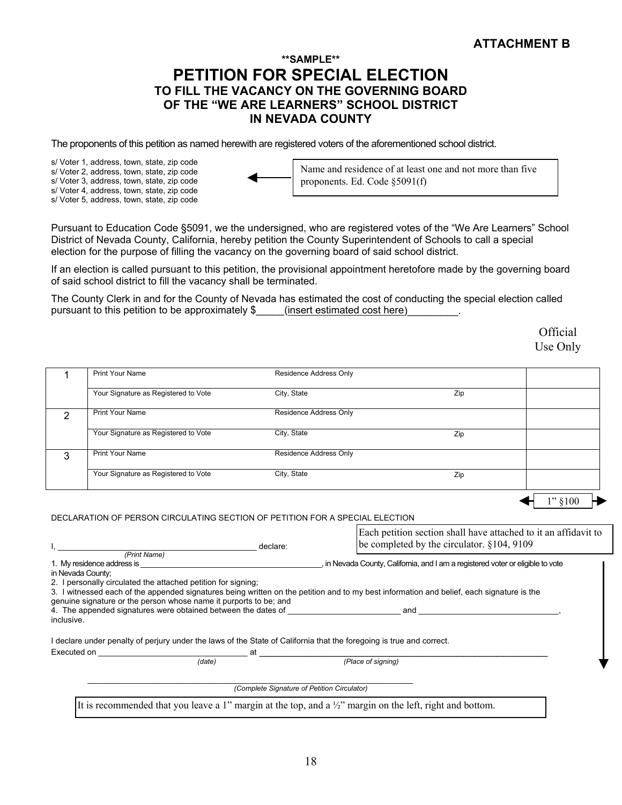#### **\*\*SAMPLE\*\* PETITION FOR SPECIAL ELECTION TO FILL THE VACANCY ON THE GOVERNING BOARD OF THE "WE ARE LEARNERS" SCHOOL DISTRICT IN NEVADA COUNTY**

<span id="page-17-0"></span>The proponents of this petition as named herewith are registered voters of the aforementioned school district.

s/ Voter 1, address, town, state, zip code s/ Voter 2, address, town, state, zip code s/ Voter 3, address, town, state, zip code s/ Voter 4, address, town, state, zip code s/ Voter 5, address, town, state, zip code



Name and residence of at least one and not more than five proponents. Ed. Code §5091(f)

Pursuant to Education Code §5091, we the undersigned, who are registered votes of the "We Are Learners" School District of Nevada County, California, hereby petition the County Superintendent of Schools to call a special election for the purpose of filling the vacancy on the governing board of said school district.

If an election is called pursuant to this petition, the provisional appointment heretofore made by the governing board of said school district to fill the vacancy shall be terminated.

The County Clerk in and for the County of Nevada has estimated the cost of conducting the special election called pursuant to this petition to be approximately \$ \_\_\_\_\_(insert estimated cost here)

> **Official** Use Only

|                   | <b>Print Your Name</b>                                                                                               | Residence Address Only                      |                                                                                                                                           |            |
|-------------------|----------------------------------------------------------------------------------------------------------------------|---------------------------------------------|-------------------------------------------------------------------------------------------------------------------------------------------|------------|
|                   | Your Signature as Registered to Vote                                                                                 | City, State                                 | Zip                                                                                                                                       |            |
| $\overline{2}$    | <b>Print Your Name</b>                                                                                               | Residence Address Only                      |                                                                                                                                           |            |
|                   | Your Signature as Registered to Vote                                                                                 | City, State                                 | Zip                                                                                                                                       |            |
| 3                 | <b>Print Your Name</b>                                                                                               | Residence Address Only                      |                                                                                                                                           |            |
|                   | Your Signature as Registered to Vote                                                                                 | City, State                                 | Zip                                                                                                                                       |            |
|                   |                                                                                                                      |                                             |                                                                                                                                           | $1"$ \$100 |
|                   | DECLARATION OF PERSON CIRCULATING SECTION OF PETITION FOR A SPECIAL ELECTION                                         |                                             |                                                                                                                                           |            |
|                   |                                                                                                                      |                                             | Each petition section shall have attached to it an affidavit to                                                                           |            |
|                   | declare:                                                                                                             |                                             | be completed by the circulator. $§104, 9109$                                                                                              |            |
|                   |                                                                                                                      |                                             |                                                                                                                                           |            |
| in Nevada County; |                                                                                                                      |                                             |                                                                                                                                           |            |
|                   | 2. I personally circulated the attached petition for signing;                                                        |                                             |                                                                                                                                           |            |
|                   |                                                                                                                      |                                             | 3. I witnessed each of the appended signatures being written on the petition and to my best information and belief, each signature is the |            |
|                   | genuine signature or the person whose name it purports to be; and                                                    |                                             |                                                                                                                                           |            |
| inclusive.        |                                                                                                                      |                                             |                                                                                                                                           |            |
|                   | I declare under penalty of perjury under the laws of the State of California that the foregoing is true and correct. |                                             |                                                                                                                                           |            |
|                   |                                                                                                                      |                                             |                                                                                                                                           |            |
|                   | (date)                                                                                                               |                                             | (Place of signing)                                                                                                                        |            |
|                   |                                                                                                                      |                                             |                                                                                                                                           |            |
|                   |                                                                                                                      | (Complete Signature of Petition Circulator) |                                                                                                                                           |            |
|                   |                                                                                                                      |                                             | It is recommended that you leave a 1" margin at the top, and a $\frac{1}{2}$ " margin on the left, right and bottom.                      |            |
|                   |                                                                                                                      |                                             |                                                                                                                                           |            |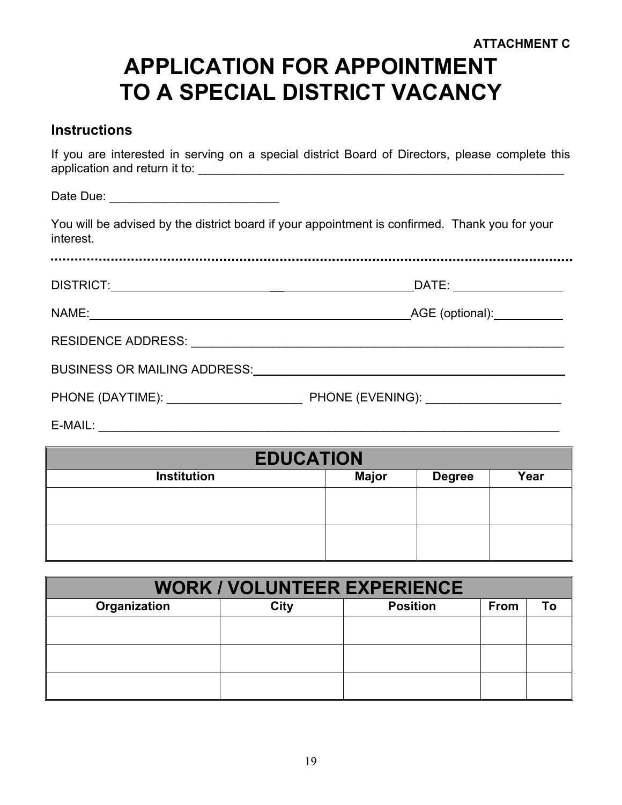#### **ATTACHMENT C**

# <span id="page-18-0"></span>**APPLICATION FOR APPOINTMENT TO A SPECIAL DISTRICT VACANCY**

#### **Instructions**

If you are interested in serving on a special district Board of Directors, please complete this application and return it to: \_\_\_\_\_\_\_\_\_\_\_\_\_\_\_\_\_\_\_\_\_\_\_\_\_\_\_\_\_\_\_\_\_\_\_\_\_\_\_\_\_\_\_\_\_\_\_\_\_\_\_\_\_\_

Date Due: \_\_\_\_\_\_\_\_\_\_\_\_\_\_\_\_\_\_\_\_\_\_\_\_\_

You will be advised by the district board if your appointment is confirmed. Thank you for your interest.

DISTRICT: \_\_ DATE:

NAME: AGE (optional):

| <b>RESIDENCE ADDRESS:</b> |  |
|---------------------------|--|
|                           |  |

BUSINESS OR MAILING ADDRESS: The contract of the contract of the contract of the contract of the contract of the contract of the contract of the contract of the contract of the contract of the contract of the contract of t

PHONE (DAYTIME): <br> PHONE (EVENING):

E-MAIL: \_\_\_\_\_\_\_\_\_\_\_\_\_\_\_\_\_\_\_\_\_\_\_\_\_\_\_\_\_\_\_\_\_\_\_\_\_\_\_\_\_\_\_\_\_\_\_\_\_\_\_\_\_\_\_\_\_\_\_\_\_\_\_\_\_\_\_\_

|                    | <b>EDUCATION</b> |               |      |
|--------------------|------------------|---------------|------|
| <b>Institution</b> | <b>Major</b>     | <b>Degree</b> | Year |
|                    |                  |               |      |
|                    |                  |               |      |
|                    |                  |               |      |
|                    |                  |               |      |

| <b>WORK / VOLUNTEER EXPERIENCE</b> |      |                 |      |  |
|------------------------------------|------|-----------------|------|--|
| Organization                       | City | <b>Position</b> | From |  |
|                                    |      |                 |      |  |
|                                    |      |                 |      |  |
|                                    |      |                 |      |  |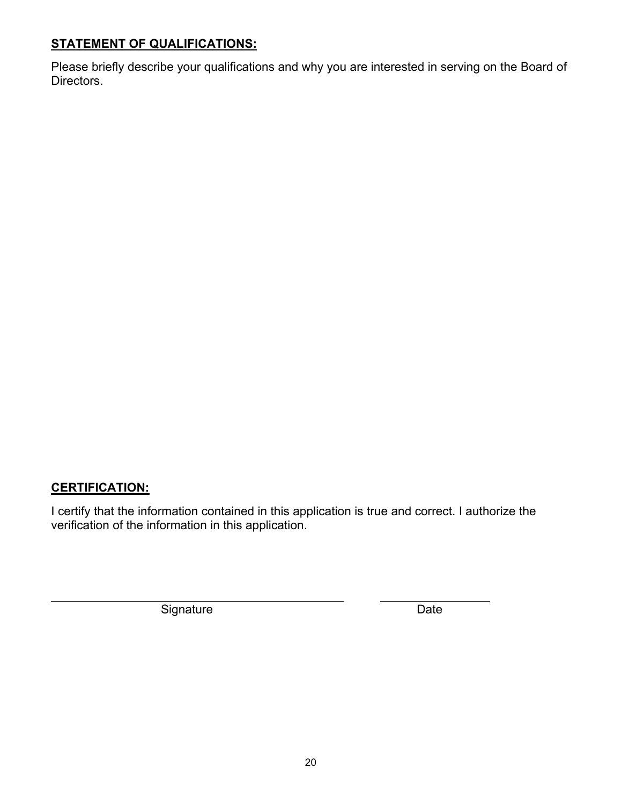#### **STATEMENT OF QUALIFICATIONS:**

Please briefly describe your qualifications and why you are interested in serving on the Board of Directors.

#### **CERTIFICATION:**

 $\overline{a}$ 

I certify that the information contained in this application is true and correct. I authorize the verification of the information in this application.

Signature Date Date